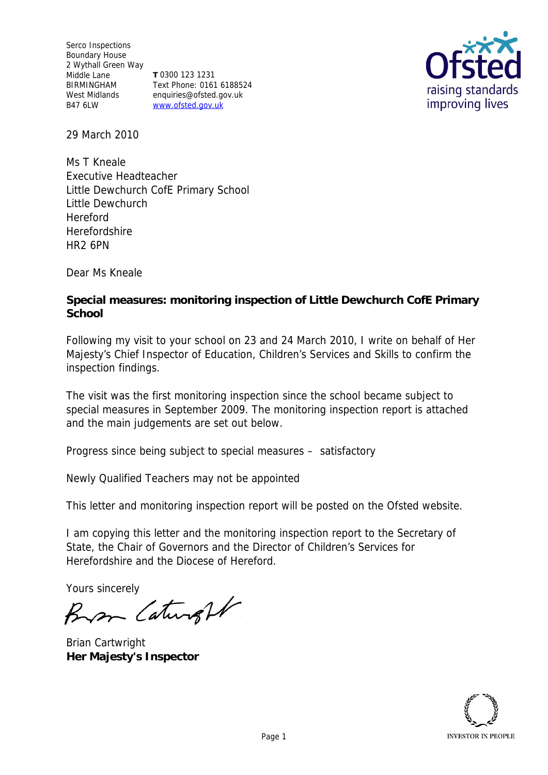Serco Inspections Boundary House 2 Wythall Green Way Middle Lane BIRMINGHAM West Midlands enquiries@ofsted.gov.uk B47 6LW **T** 0300 123 1231 Text Phone: 0161 6188524 www.ofsted.gov.uk



29 March 2010

Ms T Kneale Executive Headteacher Little Dewchurch CofE Primary School Little Dewchurch Hereford **Herefordshire** HR2 6PN

Dear Ms Kneale

**Special measures: monitoring inspection of Little Dewchurch CofE Primary School**

Following my visit to your school on 23 and 24 March 2010, I write on behalf of Her Majesty's Chief Inspector of Education, Children's Services and Skills to confirm the inspection findings.

The visit was the first monitoring inspection since the school became subject to special measures in September 2009. The monitoring inspection report is attached and the main judgements are set out below.

Progress since being subject to special measures *–* satisfactory

Newly Qualified Teachers may not be appointed

This letter and monitoring inspection report will be posted on the Ofsted website.

I am copying this letter and the monitoring inspection report to the Secretary of State, the Chair of Governors and the Director of Children's Services for Herefordshire and the Diocese of Hereford.

Yours sincerely

Bron Caturght

Brian Cartwright **Her Majesty's Inspector**

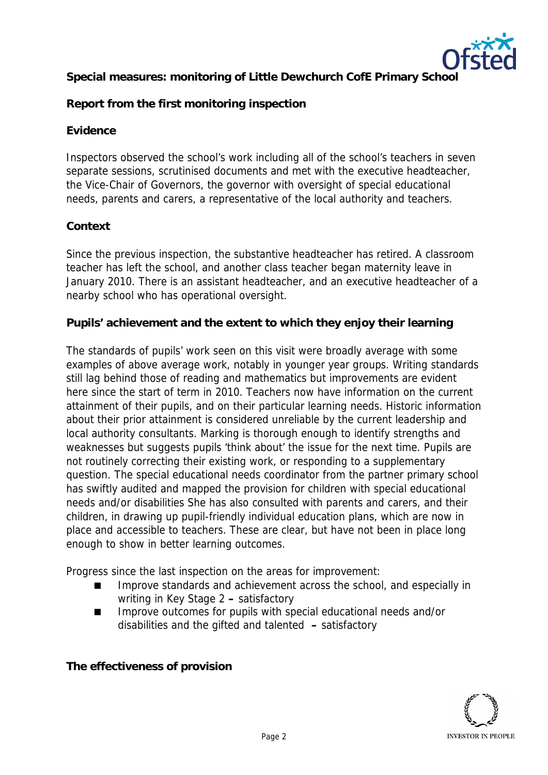

**Special measures: monitoring of Little Dewchurch CofE Primary School**

**Report from the first monitoring inspection**

## **Evidence**

Inspectors observed the school's work including all of the school's teachers in seven separate sessions, scrutinised documents and met with the executive headteacher, the Vice-Chair of Governors, the governor with oversight of special educational needs, parents and carers, a representative of the local authority and teachers.

## **Context**

Since the previous inspection, the substantive headteacher has retired. A classroom teacher has left the school, and another class teacher began maternity leave in January 2010. There is an assistant headteacher, and an executive headteacher of a nearby school who has operational oversight.

**Pupils' achievement and the extent to which they enjoy their learning**

The standards of pupils' work seen on this visit were broadly average with some examples of above average work, notably in younger year groups. Writing standards still lag behind those of reading and mathematics but improvements are evident here since the start of term in 2010. Teachers now have information on the current attainment of their pupils, and on their particular learning needs. Historic information about their prior attainment is considered unreliable by the current leadership and local authority consultants. Marking is thorough enough to identify strengths and weaknesses but suggests pupils 'think about' the issue for the next time. Pupils are not routinely correcting their existing work, or responding to a supplementary question. The special educational needs coordinator from the partner primary school has swiftly audited and mapped the provision for children with special educational needs and/or disabilities She has also consulted with parents and carers, and their children, in drawing up pupil-friendly individual education plans, which are now in place and accessible to teachers. These are clear, but have not been in place long enough to show in better learning outcomes.

Progress since the last inspection on the areas for improvement:

- Improve standards and achievement across the school, and especially in writing in Key Stage 2 **–** satisfactory
- Improve outcomes for pupils with special educational needs and/or disabilities and the gifted and talented **–** satisfactory

**The effectiveness of provision**

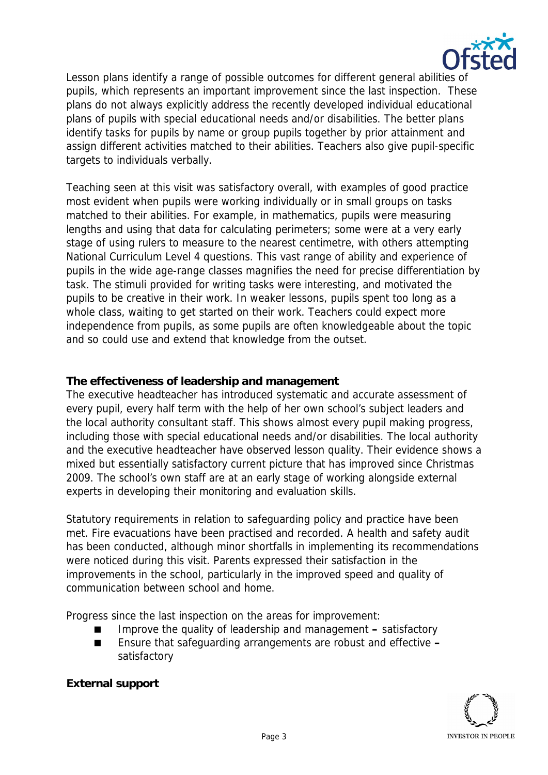

Lesson plans identify a range of possible outcomes for different general abilities of pupils, which represents an important improvement since the last inspection. These plans do not always explicitly address the recently developed individual educational plans of pupils with special educational needs and/or disabilities. The better plans identify tasks for pupils by name or group pupils together by prior attainment and assign different activities matched to their abilities. Teachers also give pupil-specific targets to individuals verbally.

Teaching seen at this visit was satisfactory overall, with examples of good practice most evident when pupils were working individually or in small groups on tasks matched to their abilities. For example, in mathematics, pupils were measuring lengths and using that data for calculating perimeters; some were at a very early stage of using rulers to measure to the nearest centimetre, with others attempting National Curriculum Level 4 questions. This vast range of ability and experience of pupils in the wide age-range classes magnifies the need for precise differentiation by task. The stimuli provided for writing tasks were interesting, and motivated the pupils to be creative in their work. In weaker lessons, pupils spent too long as a whole class, waiting to get started on their work. Teachers could expect more independence from pupils, as some pupils are often knowledgeable about the topic and so could use and extend that knowledge from the outset.

## **The effectiveness of leadership and management**

The executive headteacher has introduced systematic and accurate assessment of every pupil, every half term with the help of her own school's subject leaders and the local authority consultant staff. This shows almost every pupil making progress, including those with special educational needs and/or disabilities. The local authority and the executive headteacher have observed lesson quality. Their evidence shows a mixed but essentially satisfactory current picture that has improved since Christmas 2009. The school's own staff are at an early stage of working alongside external experts in developing their monitoring and evaluation skills.

Statutory requirements in relation to safeguarding policy and practice have been met. Fire evacuations have been practised and recorded. A health and safety audit has been conducted, although minor shortfalls in implementing its recommendations were noticed during this visit. Parents expressed their satisfaction in the improvements in the school, particularly in the improved speed and quality of communication between school and home.

Progress since the last inspection on the areas for improvement:

- Improve the quality of leadership and management **–** satisfactory
- Ensure that safeguarding arrangements are robust and effective **–** satisfactory



**External support**